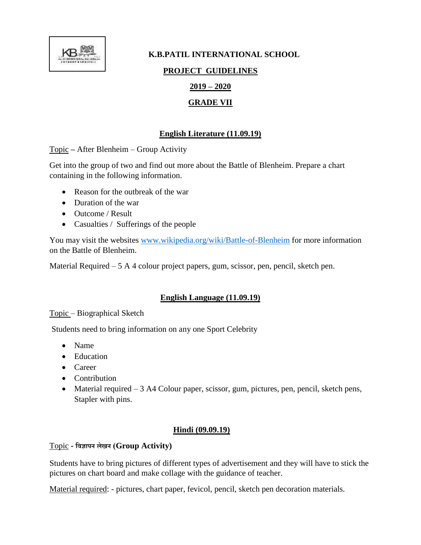

# **K.B.PATIL INTERNATIONAL SCHOOL PROJECT GUIDELINES 2019 – 2020 GRADE VII**

## **English Literature (11.09.19)**

Topic **–** After Blenheim – Group Activity

Get into the group of two and find out more about the Battle of Blenheim. Prepare a chart containing in the following information.

- Reason for the outbreak of the war
- Duration of the war
- Outcome / Result
- Casualties / Sufferings of the people

You may visit the websites [www.wikipedia.org/wiki/Battle-of-Blenheim](http://www.wikipedia.org/wiki/Battle-of-Blenheim) for more information on the Battle of Blenheim.

Material Required – 5 A 4 colour project papers, gum, scissor, pen, pencil, sketch pen.

## **English Language (11.09.19)**

Topic – Biographical Sketch

Students need to bring information on any one Sport Celebrity

- Name
- Education
- Career
- Contribution
- Material required 3 A4 Colour paper, scissor, gum, pictures, pen, pencil, sketch pens, Stapler with pins.

#### **Hindi (09.09.19)**

## Topic **- विज्ञापन लेखन (Group Activity)**

Students have to bring pictures of different types of advertisement and they will have to stick the pictures on chart board and make collage with the guidance of teacher.

Material required: - pictures, chart paper, fevicol, pencil, sketch pen decoration materials.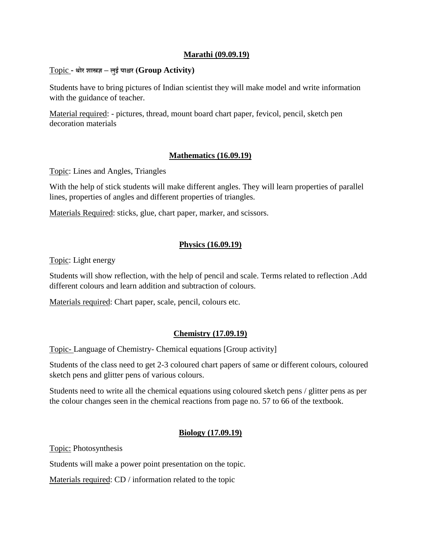#### **Marathi (09.09.19)**

#### Topic **- थोर शास्त्रज्ञ – लुई पाश्चर (Group Activity)**

Students have to bring pictures of Indian scientist they will make model and write information with the guidance of teacher.

Material required: - pictures, thread, mount board chart paper, fevicol, pencil, sketch pen decoration materials

#### **Mathematics (16.09.19)**

Topic: Lines and Angles, Triangles

With the help of stick students will make different angles. They will learn properties of parallel lines, properties of angles and different properties of triangles.

Materials Required: sticks, glue, chart paper, marker, and scissors.

#### **Physics (16.09.19)**

Topic: Light energy

Students will show reflection, with the help of pencil and scale. Terms related to reflection .Add different colours and learn addition and subtraction of colours.

Materials required: Chart paper, scale, pencil, colours etc.

#### **Chemistry (17.09.19)**

Topic- Language of Chemistry- Chemical equations [Group activity]

Students of the class need to get 2-3 coloured chart papers of same or different colours, coloured sketch pens and glitter pens of various colours.

Students need to write all the chemical equations using coloured sketch pens / glitter pens as per the colour changes seen in the chemical reactions from page no. 57 to 66 of the textbook.

#### **Biology (17.09.19)**

Topic: Photosynthesis

Students will make a power point presentation on the topic.

Materials required: CD / information related to the topic